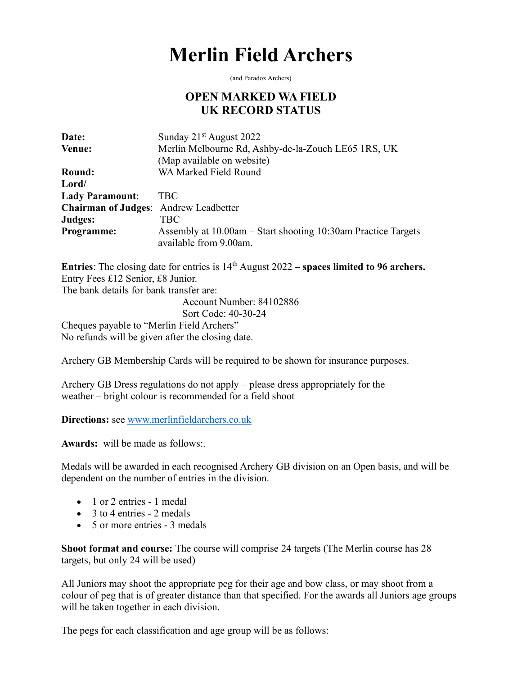# **Merlin Field Archers**

(and Paradox Archers)

## **OPEN MARKED WA FIELD UK RECORD STATUS**

| Date:                                        | Sunday 21 <sup>st</sup> August 2022                           |  |  |  |  |  |
|----------------------------------------------|---------------------------------------------------------------|--|--|--|--|--|
| Venue:                                       | Merlin Melbourne Rd, Ashby-de-la-Zouch LE65 1RS, UK           |  |  |  |  |  |
|                                              | (Map available on website)                                    |  |  |  |  |  |
| Round:                                       | WA Marked Field Round                                         |  |  |  |  |  |
| Lord/                                        |                                                               |  |  |  |  |  |
| <b>Lady Paramount:</b>                       | TBC                                                           |  |  |  |  |  |
| <b>Chairman of Judges:</b> Andrew Leadbetter |                                                               |  |  |  |  |  |
| Judges:                                      | TBC                                                           |  |  |  |  |  |
| <b>Programme:</b>                            | Assembly at 10.00am – Start shooting 10:30am Practice Targets |  |  |  |  |  |
|                                              | available from 9.00am.                                        |  |  |  |  |  |

**Entries**: The closing date for entries is  $14<sup>th</sup>$  August 2022 – **spaces limited to 96 archers.** Entry Fees £12 Senior, £8 Junior. The bank details for bank transfer are:

> Account Number: 84102886 Sort Code: 40-30-24

Cheques payable to "Merlin Field Archers" No refunds will be given after the closing date.

Archery GB Membership Cards will be required to be shown for insurance purposes.

Archery GB Dress regulations do not apply – please dress appropriately for the weather – bright colour is recommended for a field shoot

**Directions:** see [www.merlinfieldarchers.co.uk](http://www.merlinfieldarchers.co.uk/)

**Awards:** will be made as follows:.

Medals will be awarded in each recognised Archery GB division on an Open basis, and will be dependent on the number of entries in the division.

- 1 or 2 entries 1 medal
- 3 to 4 entries 2 medals
- 5 or more entries 3 medals

**Shoot format and course:** The course will comprise 24 targets (The Merlin course has 28 targets, but only 24 will be used)

All Juniors may shoot the appropriate peg for their age and bow class, or may shoot from a colour of peg that is of greater distance than that specified. For the awards all Juniors age groups will be taken together in each division.

The pegs for each classification and age group will be as follows: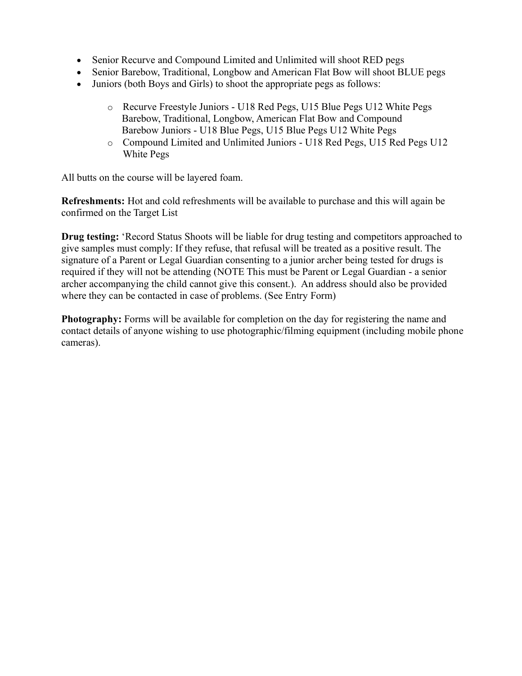- Senior Recurve and Compound Limited and Unlimited will shoot RED pegs
- Senior Barebow, Traditional, Longbow and American Flat Bow will shoot BLUE pegs
- Juniors (both Boys and Girls) to shoot the appropriate pegs as follows:
	- o Recurve Freestyle Juniors U18 Red Pegs, U15 Blue Pegs U12 White Pegs Barebow, Traditional, Longbow, American Flat Bow and Compound Barebow Juniors - U18 Blue Pegs, U15 Blue Pegs U12 White Pegs
	- o Compound Limited and Unlimited Juniors U18 Red Pegs, U15 Red Pegs U12 White Pegs

All butts on the course will be layered foam.

**Refreshments:** Hot and cold refreshments will be available to purchase and this will again be confirmed on the Target List

**Drug testing:** 'Record Status Shoots will be liable for drug testing and competitors approached to give samples must comply: If they refuse, that refusal will be treated as a positive result. The signature of a Parent or Legal Guardian consenting to a junior archer being tested for drugs is required if they will not be attending (NOTE This must be Parent or Legal Guardian - a senior archer accompanying the child cannot give this consent.). An address should also be provided where they can be contacted in case of problems. (See Entry Form)

**Photography:** Forms will be available for completion on the day for registering the name and contact details of anyone wishing to use photographic/filming equipment (including mobile phone cameras).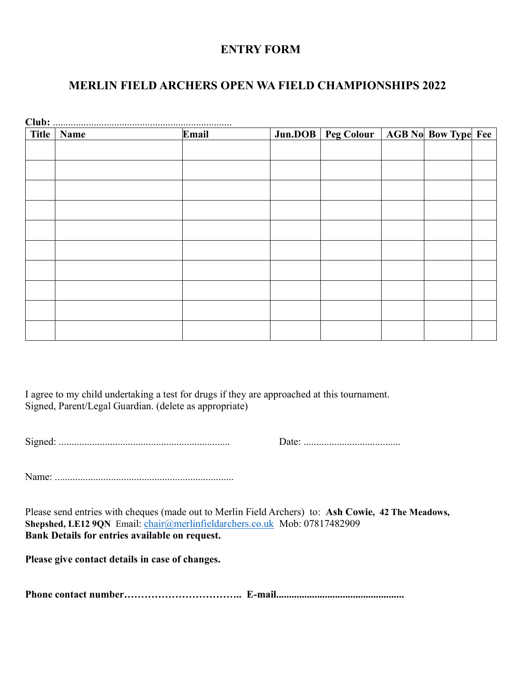## **ENTRY FORM**

# **MERLIN FIELD ARCHERS OPEN WA FIELD CHAMPIONSHIPS 2022**

| <b>Title</b> | Name | Email |  | Jun.DOB   Peg Colour   AGB No Bow Type Fee |  |  |  |
|--------------|------|-------|--|--------------------------------------------|--|--|--|
|              |      |       |  |                                            |  |  |  |
|              |      |       |  |                                            |  |  |  |
|              |      |       |  |                                            |  |  |  |
|              |      |       |  |                                            |  |  |  |
|              |      |       |  |                                            |  |  |  |
|              |      |       |  |                                            |  |  |  |
|              |      |       |  |                                            |  |  |  |
|              |      |       |  |                                            |  |  |  |
|              |      |       |  |                                            |  |  |  |
|              |      |       |  |                                            |  |  |  |
|              |      |       |  |                                            |  |  |  |
|              |      |       |  |                                            |  |  |  |

I agree to my child undertaking a test for drugs if they are approached at this tournament. Signed, Parent/Legal Guardian. (delete as appropriate)

Signed: ................................................................... Date: ......................................

Name: ......................................................................

Please send entries with cheques (made out to Merlin Field Archers) to: **Ash Cowie, 42 The Meadows,**  Shepshed, LE12 9QN Email: [chair@merlinfieldarchers.co.uk](mailto:chair@merlinfieldarchers.co.uk) Mob: 07817482909 **Bank Details for entries available on request.**

**Please give contact details in case of changes.** 

**Phone contact number…………………………….. E-mail..................................................**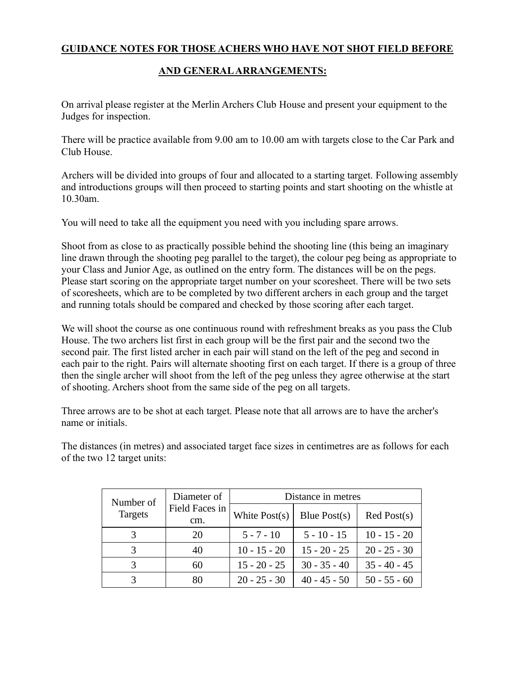### **GUIDANCE NOTES FOR THOSE ACHERS WHO HAVE NOT SHOT FIELD BEFORE**

#### **AND GENERAL ARRANGEMENTS:**

On arrival please register at the Merlin Archers Club House and present your equipment to the Judges for inspection.

There will be practice available from 9.00 am to 10.00 am with targets close to the Car Park and Club House.

Archers will be divided into groups of four and allocated to a starting target. Following assembly and introductions groups will then proceed to starting points and start shooting on the whistle at 10.30am.

You will need to take all the equipment you need with you including spare arrows.

Shoot from as close to as practically possible behind the shooting line (this being an imaginary line drawn through the shooting peg parallel to the target), the colour peg being as appropriate to your Class and Junior Age, as outlined on the entry form. The distances will be on the pegs. Please start scoring on the appropriate target number on your scoresheet. There will be two sets of scoresheets, which are to be completed by two different archers in each group and the target and running totals should be compared and checked by those scoring after each target.

We will shoot the course as one continuous round with refreshment breaks as you pass the Club House. The two archers list first in each group will be the first pair and the second two the second pair. The first listed archer in each pair will stand on the left of the peg and second in each pair to the right. Pairs will alternate shooting first on each target. If there is a group of three then the single archer will shoot from the left of the peg unless they agree otherwise at the start of shooting. Archers shoot from the same side of the peg on all targets.

Three arrows are to be shot at each target. Please note that all arrows are to have the archer's name or initials.

The distances (in metres) and associated target face sizes in centimetres are as follows for each of the two 12 target units:

| Number of<br>Targets | Diameter of           | Distance in metres |                |                |  |
|----------------------|-----------------------|--------------------|----------------|----------------|--|
|                      | Field Faces in<br>cm. | White $Post(s)$    | Blue $Post(s)$ | $Red$ Post(s)  |  |
|                      | 20                    | $5 - 7 - 10$       | $5 - 10 - 15$  | $10 - 15 - 20$ |  |
|                      | 40                    | $10 - 15 - 20$     | $15 - 20 - 25$ | $20 - 25 - 30$ |  |
|                      | 60                    | $15 - 20 - 25$     | $30 - 35 - 40$ | $35 - 40 - 45$ |  |
|                      | 80                    | $20 - 25 - 30$     | $40 - 45 - 50$ | $50 - 55 - 60$ |  |